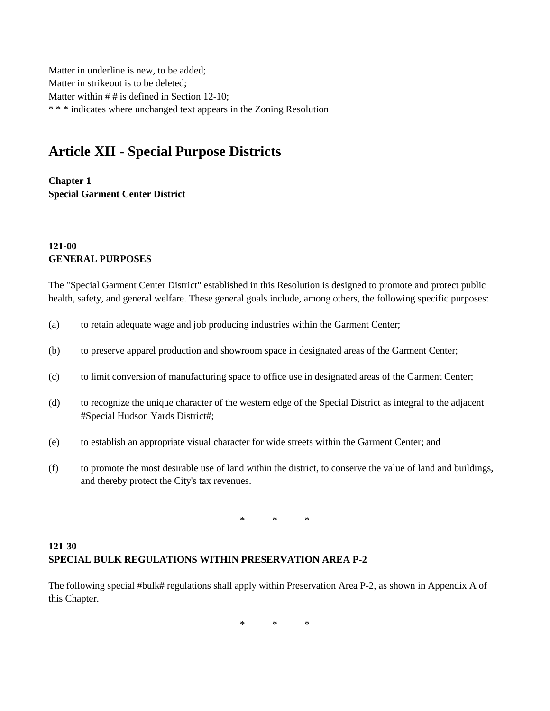Matter in underline is new, to be added; Matter in strikeout is to be deleted; Matter within  $# #$  is defined in Section 12-10; \* \* \* indicates where unchanged text appears in the Zoning Resolution

## **Article XII - Special Purpose Districts**

**Chapter 1 Special Garment Center District**

## **121-00 GENERAL PURPOSES**

The "Special Garment Center District" established in this Resolution is designed to promote and protect public health, safety, and general welfare. These general goals include, among others, the following specific purposes:

- (a) to retain adequate wage and job producing industries within the Garment Center;
- (b) to preserve apparel production and showroom space in designated areas of the Garment Center;
- (c) to limit conversion of manufacturing space to office use in designated areas of the Garment Center;
- (d) to recognize the unique character of the western edge of the Special District as integral to the adjacent #Special Hudson Yards District#;
- (e) to establish an appropriate visual character for wide streets within the Garment Center; and
- (f) to promote the most desirable use of land within the district, to conserve the value of land and buildings, and thereby protect the City's tax revenues.

\* \* \*

## **121-30 SPECIAL BULK REGULATIONS WITHIN PRESERVATION AREA P-2**

The following special #bulk# regulations shall apply within Preservation Area P-2, as shown in Appendix A of this Chapter.

\* \* \*